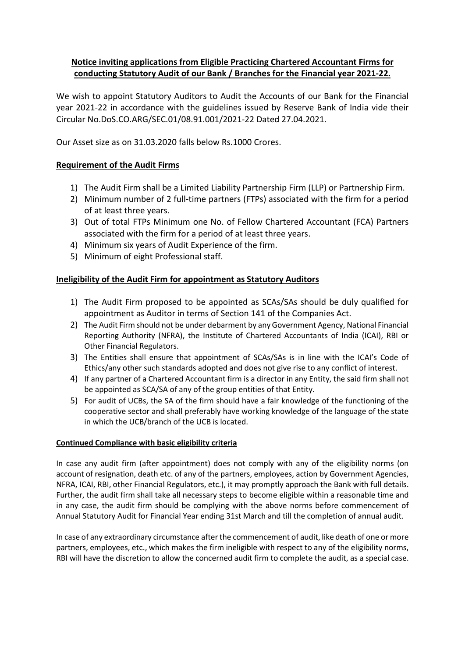# Notice inviting applications from Eligible Practicing Chartered Accountant Firms for conducting Statutory Audit of our Bank / Branches for the Financial year 2021-22.

We wish to appoint Statutory Auditors to Audit the Accounts of our Bank for the Financial year 2021-22 in accordance with the guidelines issued by Reserve Bank of India vide their Circular No.DoS.CO.ARG/SEC.01/08.91.001/2021-22 Dated 27.04.2021.

Our Asset size as on 31.03.2020 falls below Rs.1000 Crores.

# Requirement of the Audit Firms

- 1) The Audit Firm shall be a Limited Liability Partnership Firm (LLP) or Partnership Firm.
- 2) Minimum number of 2 full-time partners (FTPs) associated with the firm for a period of at least three years.
- 3) Out of total FTPs Minimum one No. of Fellow Chartered Accountant (FCA) Partners associated with the firm for a period of at least three years.
- 4) Minimum six years of Audit Experience of the firm.
- 5) Minimum of eight Professional staff.

# Ineligibility of the Audit Firm for appointment as Statutory Auditors

- 1) The Audit Firm proposed to be appointed as SCAs/SAs should be duly qualified for appointment as Auditor in terms of Section 141 of the Companies Act.
- 2) The Audit Firm should not be under debarment by any Government Agency, National Financial Reporting Authority (NFRA), the Institute of Chartered Accountants of India (ICAI), RBI or Other Financial Regulators.
- 3) The Entities shall ensure that appointment of SCAs/SAs is in line with the ICAI's Code of Ethics/any other such standards adopted and does not give rise to any conflict of interest.
- 4) If any partner of a Chartered Accountant firm is a director in any Entity, the said firm shall not be appointed as SCA/SA of any of the group entities of that Entity.
- 5) For audit of UCBs, the SA of the firm should have a fair knowledge of the functioning of the cooperative sector and shall preferably have working knowledge of the language of the state in which the UCB/branch of the UCB is located.

# Continued Compliance with basic eligibility criteria

In case any audit firm (after appointment) does not comply with any of the eligibility norms (on account of resignation, death etc. of any of the partners, employees, action by Government Agencies, NFRA, ICAI, RBI, other Financial Regulators, etc.), it may promptly approach the Bank with full details. Further, the audit firm shall take all necessary steps to become eligible within a reasonable time and in any case, the audit firm should be complying with the above norms before commencement of Annual Statutory Audit for Financial Year ending 31st March and till the completion of annual audit.

In case of any extraordinary circumstance after the commencement of audit, like death of one or more partners, employees, etc., which makes the firm ineligible with respect to any of the eligibility norms, RBI will have the discretion to allow the concerned audit firm to complete the audit, as a special case.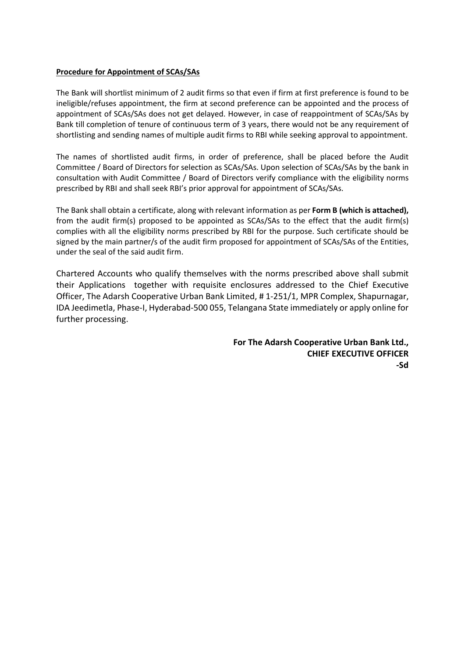#### Procedure for Appointment of SCAs/SAs

The Bank will shortlist minimum of 2 audit firms so that even if firm at first preference is found to be ineligible/refuses appointment, the firm at second preference can be appointed and the process of appointment of SCAs/SAs does not get delayed. However, in case of reappointment of SCAs/SAs by Bank till completion of tenure of continuous term of 3 years, there would not be any requirement of shortlisting and sending names of multiple audit firms to RBI while seeking approval to appointment.

The names of shortlisted audit firms, in order of preference, shall be placed before the Audit Committee / Board of Directors for selection as SCAs/SAs. Upon selection of SCAs/SAs by the bank in consultation with Audit Committee / Board of Directors verify compliance with the eligibility norms prescribed by RBI and shall seek RBI's prior approval for appointment of SCAs/SAs.

The Bank shall obtain a certificate, along with relevant information as per Form B (which is attached), from the audit firm(s) proposed to be appointed as SCAs/SAs to the effect that the audit firm(s) complies with all the eligibility norms prescribed by RBI for the purpose. Such certificate should be signed by the main partner/s of the audit firm proposed for appointment of SCAs/SAs of the Entities, under the seal of the said audit firm.

Chartered Accounts who qualify themselves with the norms prescribed above shall submit their Applications together with requisite enclosures addressed to the Chief Executive Officer, The Adarsh Cooperative Urban Bank Limited, # 1-251/1, MPR Complex, Shapurnagar, IDA Jeedimetla, Phase-I, Hyderabad-500 055, Telangana State immediately or apply online for further processing.

> For The Adarsh Cooperative Urban Bank Ltd., CHIEF EXECUTIVE OFFICER -Sd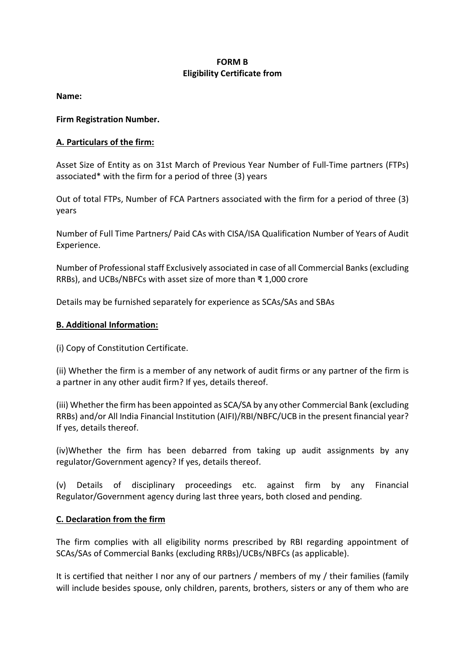### FORM B Eligibility Certificate from

Name:

Firm Registration Number.

### A. Particulars of the firm:

Asset Size of Entity as on 31st March of Previous Year Number of Full-Time partners (FTPs) associated\* with the firm for a period of three (3) years

Out of total FTPs, Number of FCA Partners associated with the firm for a period of three (3) years

Number of Full Time Partners/ Paid CAs with CISA/ISA Qualification Number of Years of Audit Experience.

Number of Professional staff Exclusively associated in case of all Commercial Banks (excluding RRBs), and UCBs/NBFCs with asset size of more than ₹ 1,000 crore

Details may be furnished separately for experience as SCAs/SAs and SBAs

### B. Additional Information:

(i) Copy of Constitution Certificate.

(ii) Whether the firm is a member of any network of audit firms or any partner of the firm is a partner in any other audit firm? If yes, details thereof.

(iii) Whether the firm has been appointed as SCA/SA by any other Commercial Bank (excluding RRBs) and/or All India Financial Institution (AIFI)/RBI/NBFC/UCB in the present financial year? If yes, details thereof.

(iv)Whether the firm has been debarred from taking up audit assignments by any regulator/Government agency? If yes, details thereof.

(v) Details of disciplinary proceedings etc. against firm by any Financial Regulator/Government agency during last three years, both closed and pending.

# C. Declaration from the firm

The firm complies with all eligibility norms prescribed by RBI regarding appointment of SCAs/SAs of Commercial Banks (excluding RRBs)/UCBs/NBFCs (as applicable).

It is certified that neither I nor any of our partners / members of my / their families (family will include besides spouse, only children, parents, brothers, sisters or any of them who are